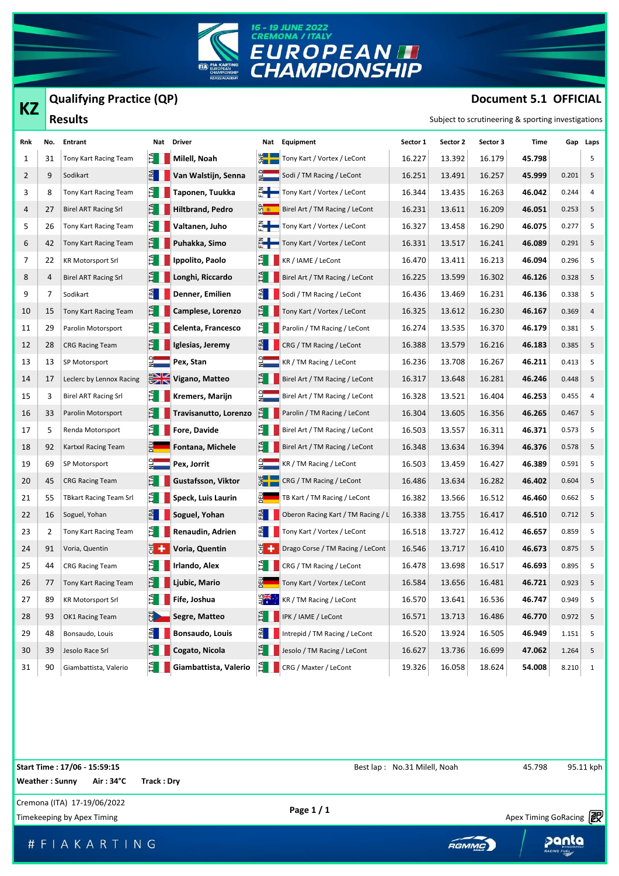

## **KZ Qualifying Practice (QP)**

## **Document 5.1 OFFICIAL**

| КZ  |     | Qualifying Practice (QP)      |                 |                          |               |                                                      |          |          |          | Document 5.1 OFFICIAL                              |       |          |
|-----|-----|-------------------------------|-----------------|--------------------------|---------------|------------------------------------------------------|----------|----------|----------|----------------------------------------------------|-------|----------|
|     |     | <b>Results</b>                |                 |                          |               |                                                      |          |          |          | Subject to scrutineering & sporting investigations |       |          |
| Rnk | No. | Entrant                       |                 | Nat Driver               |               | Nat Equipment                                        | Sector 1 | Sector 2 | Sector 3 | Time                                               |       | Gap Laps |
| 1   | 31  | Tony Kart Racing Team         | EТ              | Milell, Noah             |               | Tony Kart / Vortex / LeCont                          | 16.227   | 13.392   | 16.179   | 45.798                                             |       | 5        |
| 2   | 9   | Sodikart                      | ERA             | Van Walstijn, Senna      |               | $\frac{1}{2}$ Sodi / TM Racing / LeCont              | 16.251   | 13.491   | 16.257   | 45.999                                             | 0.201 | 5        |
| 3   | 8   | Tony Kart Racing Team         | È I             | Taponen, Tuukka          |               | Tony Kart / Vortex / LeCont                          | 16.344   | 13.435   | 16.263   | 46.042                                             | 0.244 | 4        |
| 4   | 27  | <b>Birel ART Racing Srl</b>   | È.              | Hiltbrand, Pedro         |               | ြ <mark>က် ∗  </mark> Birel Art / TM Racing / LeCont | 16.231   | 13.611   | 16.209   | 46.051                                             | 0.253 | 5        |
| 5   | 26  | Tony Kart Racing Team         | E.              | Valtanen, Juho           |               | $\frac{Z}{L}$ Tony Kart / Vortex / LeCont            | 16.327   | 13.458   | 16.290   | 46.075                                             | 0.277 | 5        |
| 6   | 42  | Tony Kart Racing Team         | È I             | Puhakka, Simo            |               | Tony Kart / Vortex / LeCont                          | 16.331   | 13.517   | 16.241   | 46.089                                             | 0.291 | 5        |
| 7   | 22  | <b>KR Motorsport Srl</b>      | È.              | Ippolito, Paolo          |               | $E$ KR / IAME / LeCont                               | 16.470   | 13.411   | 16.213   | 46.094                                             | 0.296 | 5        |
| 8   | 4   | <b>Birel ART Racing Srl</b>   | E.              | Longhi, Riccardo         | E L           | Birel Art / TM Racing / LeCont                       | 16.225   | 13.599   | 16.302   | 46.126                                             | 0.328 | 5        |
| 9   | 7   | Sodikart                      | ER <sub>1</sub> | Denner, Emilien          | $\mathbb{R}$  | Sodi / TM Racing / LeCont                            | 16.436   | 13.469   | 16.231   | 46.136                                             | 0.338 | 5        |
| 10  | 15  | Tony Kart Racing Team         | E I             | Camplese, Lorenzo        | E I           | Tony Kart / Vortex / LeCont                          | 16.325   | 13.612   | 16.230   | 46.167                                             | 0.369 | 4        |
| 11  | 29  | Parolin Motorsport            | EL.             | Celenta, Francesco       | eн            | Parolin / TM Racing / LeCont                         | 16.274   | 13.535   | 16.370   | 46.179                                             | 0.381 | 5        |
| 12  | 28  | <b>CRG Racing Team</b>        | È.              | Iglesias, Jeremy         | $\mathbb{E}$  | CRG / TM Racing / LeCont                             | 16.388   | 13.579   | 16.216   | 46.183                                             | 0.385 | 5        |
| 13  | 13  | SP Motorsport                 |                 | Pex, Stan                |               | $\frac{1}{2}$ KR / TM Racing / LeCont                | 16.236   | 13.708   | 16.267   | 46.211                                             | 0.413 | 5        |
| 14  | 17  | Leclerc by Lennox Racing      |                 | <b>EN Vigano, Matteo</b> |               | Birel Art / TM Racing / LeCont                       | 16.317   | 13.648   | 16.281   | 46.246                                             | 0.448 | 5        |
| 15  | 3   | <b>Birel ART Racing Srl</b>   | ÈН              | Kremers, Marijn          | $\frac{1}{2}$ | Birel Art / TM Racing / LeCont                       | 16.328   | 13.521   | 16.404   | 46.253                                             | 0.455 | 4        |
| 16  | 33  | Parolin Motorsport            | È.              | Travisanutto, Lorenzo    | E             | Parolin / TM Racing / LeCont                         | 16.304   | 13.605   | 16.356   | 46.265                                             | 0.467 | 5        |
| 17  | 5   | Renda Motorsport              | E               | Fore, Davide             |               | Birel Art / TM Racing / LeCont                       | 16.503   | 13.557   | 16.311   | 46.371                                             | 0.573 | 5        |
| 18  | 92  | Kartxxl Racing Team           |                 | Fontana, Michele         |               | Birel Art / TM Racing / LeCont                       | 16.348   | 13.634   | 16.394   | 46.376                                             | 0.578 | 5        |
| 19  | 69  | SP Motorsport                 | 앏               | Pex, Jorrit              |               | KR / TM Racing / LeCont                              | 16.503   | 13.459   | 16.427   | 46.389                                             | 0.591 | 5        |
| 20  | 45  | <b>CRG Racing Team</b>        | È I             | Gustafsson, Viktor       |               | CRG / TM Racing / LeCont                             | 16.486   | 13.634   | 16.282   | 46.402                                             | 0.604 | 5        |
| 21  | 55  | <b>TBkart Racing Team Srl</b> | E I I           | Speck, Luis Laurin       |               | TB Kart / TM Racing / LeCont                         | 16.382   | 13.566   | 16.512   | 46.460                                             | 0.662 | 5        |
| 22  | 16  | Soguel, Yohan                 | ER              | Soguel, Yohan            |               | Oberon Racing Kart / TM Racing / L                   | 16.338   | 13.755   | 16.417   | 46.510                                             | 0.712 | 5        |
| 23  | 2   | Tony Kart Racing Team         | EL.             | Renaudin, Adrien         | E             | Tony Kart / Vortex / LeCont                          | 16.518   | 13.727   | 16.412   | 46.657                                             | 0.859 | 5        |
| 24  | 91  | Voria, Quentin                | ä+              | Voria, Quentin           | Ë+            | Drago Corse / TM Racing / LeCont                     | 16.546   | 13.717   | 16.410   | 46.673                                             | 0.875 | 5        |
| 25  | 44  | <b>CRG Racing Team</b>        |                 | $H$ Irlando, Alex        |               | $\sum_{i=1}^{\infty}$ CRG / TM Racing / LeCont       | 16.478   | 13.698   | 16.517   | 46.693                                             | 0.895 | 5        |
| 26  | 77  | Tony Kart Racing Team         | E I             | Ljubic, Mario            |               | Tony Kart / Vortex / LeCont                          | 16.584   | 13.656   | 16.481   | 46.721                                             | 0.923 | 5        |
| 27  | 89  | <b>KR Motorsport Srl</b>      | E.              | Fife, Joshua             |               | KR / TM Racing / LeCont                              | 16.570   | 13.641   | 16.536   | 46.747                                             | 0.949 | 5        |
| 28  | 93  | OK1 Racing Team               | <u>SP</u>       | Segre, Matteo            | EI.           | IPK / IAME / LeCont                                  | 16.571   | 13.713   | 16.486   | 46.770                                             | 0.972 | 5        |
| 29  | 48  | Bonsaudo, Louis               | E               | Bonsaudo, Louis          |               | Intrepid / TM Racing / LeCont                        | 16.520   | 13.924   | 16.505   | 46.949                                             | 1.151 | 5        |
| 30  | 39  | Jesolo Race Srl               | È.              | Cogato, Nicola           | E I           | Jesolo / TM Racing / LeCont                          | 16.627   | 13.736   | 16.699   | 47.062                                             | 1.264 | 5        |
| 31  | 90  | Giambattista, Valerio         | E I             | Giambattista, Valerio    | $\mathbb{E}$  | CRG / Maxter / LeCont                                | 19.326   | 16.058   | 18.624   | 54.008                                             | 8.210 | 1        |

Timekeeping by Apex Timing Corners and Timekeeping by Apex Timing GoRacing **PR**<br>Timekeeping by Apex Timing Apex Timing Corners and Timekeeping by Apex Timing GoRacing **PR** Cremona (ITA) 17-19/06/2022 **Page 1 / 1 Start Time : 17/06 - 15:59:15 Start Time : 17/06 - 15:59:15 No.31 Milell, Noah Best lap : No.31 Milell, Noah 45.798** 95.11 kph **Weather : Sunny Air : 34°C Track : Dry**

# F | A K A R T | N G

Apex Timing - drive your success https://www.apex-timing.com/



panta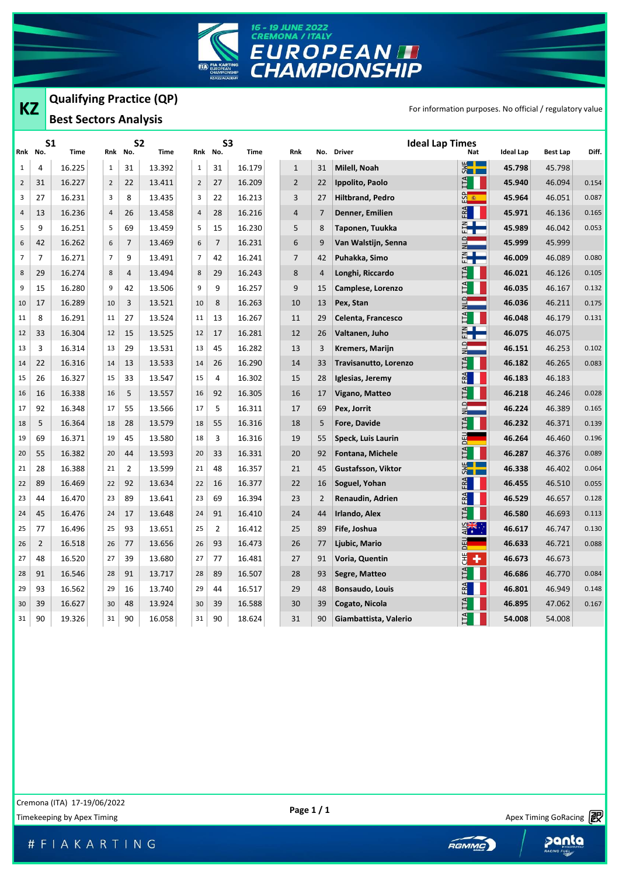

|                |                | <b>Qualifying Practice (QP)</b> |                |                |                   |                |                |             |                |     |                                         |                 |                                                          |                 |       |
|----------------|----------------|---------------------------------|----------------|----------------|-------------------|----------------|----------------|-------------|----------------|-----|-----------------------------------------|-----------------|----------------------------------------------------------|-----------------|-------|
| <b>KZ</b>      |                | <b>Best Sectors Analysis</b>    |                |                |                   |                |                |             |                |     |                                         |                 | For information purposes. No official / regulatory value |                 |       |
|                | Rnk No.        | S1<br>Time                      | Rnk            | No.            | S2<br><b>Time</b> | Rnk            | S3<br>No.      | <b>Time</b> | <b>Rnk</b>     | No. | <b>Ideal Lap Times</b><br><b>Driver</b> | <b>Nat</b>      | <b>Ideal Lap</b>                                         | <b>Best Lap</b> | Diff. |
| $\mathbf{1}$   | 4              | 16.225                          | $\mathbf{1}$   | 31             | 13.392            | $\mathbf{1}$   | 31             | 16.179      | $\mathbf{1}$   | 31  | Milell, Noah                            | $rac{1}{2}$     | 45.798                                                   | 45.798          |       |
| $\overline{2}$ | 31             | 16.227                          | $\overline{2}$ | 22             | 13.411            | $\overline{2}$ | 27             | 16.209      | $\overline{2}$ | 22  | Ippolito, Paolo                         | $\overline{11}$ | 45.940                                                   | 46.094          | 0.154 |
| 3              | 27             | 16.231                          | 3              | 8              | 13.435            | 3              | 22             | 16.213      | 3              | 27  | <b>Hiltbrand, Pedro</b>                 | <u>ကို ေ</u>    | 45.964                                                   | 46.051          | 0.087 |
| 4              | 13             | 16.236                          | 4              | 26             | 13.458            | $\overline{4}$ | 28             | 16.216      | 4              | 7   | Denner, Emilien                         | ERA             | 45.971                                                   | 46.136          | 0.165 |
| 5              | 9              | 16.251                          | 5              | 69             | 13.459            | 5              | 15             | 16.230      | 5              | 8   | Taponen, Tuukka                         | ┋╊═             | 45.989                                                   | 46.042          | 0.053 |
| 6              | 42             | 16.262                          | 6              | 7              | 13.469            | 6              | $\overline{7}$ | 16.231      | 6              | 9   | Van Walstijn, Senna                     | $\frac{1}{2}$   | 45.999                                                   | 45.999          |       |
| $\overline{7}$ | $\overline{7}$ | 16.271                          | 7              | 9              | 13.491            | 7              | 42             | 16.241      | $\overline{7}$ | 42  | Puhakka, Simo                           | $E +$           | 46.009                                                   | 46.089          | 0.080 |
| 8              | 29             | 16.274                          | 8              | 4              | 13.494            | 8              | 29             | 16.243      | 8              | 4   | Longhi, Riccardo                        | IΤΑ             | 46.021                                                   | 46.126          | 0.105 |
| 9              | 15             | 16.280                          | 9              | 42             | 13.506            | 9              | 9              | 16.257      | 9              | 15  | Camplese, Lorenzo                       | ITA             | 46.035                                                   | 46.167          | 0.132 |
| 10             | 17             | 16.289                          | 10             | 3              | 13.521            | 10             | 8              | 16.263      | 10             | 13  | Pex, Stan                               | $\frac{1}{2}$   | 46.036                                                   | 46.211          | 0.175 |
| 11             | 8              | 16.291                          | 11             | 27             | 13.524            | 11             | 13             | 16.267      | 11             | 29  | Celenta, Francesco                      | ITA             | 46.048                                                   | 46.179          | 0.131 |
| 12             | 33             | 16.304                          | 12             | 15             | 13.525            | 12             | 17             | 16.281      | 12             | 26  | Valtanen, Juho                          | ┋╋╾             | 46.075                                                   | 46.075          |       |
| 13             | 3              | 16.314                          | 13             | 29             | 13.531            | 13             | 45             | 16.282      | 13             | 3   | Kremers, Marijn                         | $\frac{1}{2}$   | 46.151                                                   | 46.253          | 0.102 |
| 14             | 22             | 16.316                          | 14             | 13             | 13.533            | 14             | 26             | 16.290      | 14             | 33  | Travisanutto, Lorenzo                   | $\mathbb{H}$    | 46.182                                                   | 46.265          | 0.083 |
| 15             | 26             | 16.327                          | 15             | 33             | 13.547            | 15             | 4              | 16.302      | 15             | 28  | Iglesias, Jeremy                        | ERA             | 46.183                                                   | 46.183          |       |
| 16             | 16             | 16.338                          | 16             | 5              | 13.557            | 16             | 92             | 16.305      | 16             | 17  | Vigano, Matteo                          | ITA             | 46.218                                                   | 46.246          | 0.028 |
| 17             | 92             | 16.348                          | 17             | 55             | 13.566            | 17             | 5              | 16.311      | 17             | 69  | Pex, Jorrit                             | $\frac{1}{2}$   | 46.224                                                   | 46.389          | 0.165 |
| 18             | 5              | 16.364                          | 18             | 28             | 13.579            | 18             | 55             | 16.316      | 18             | 5   | <b>Fore, Davide</b>                     | ITA             | 46.232                                                   | 46.371          | 0.139 |
| 19             | 69             | 16.371                          | 19             | 45             | 13.580            | 18             | 3              | 16.316      | 19             | 55  | Speck, Luis Laurin                      | DEU <sub></sub> | 46.264                                                   | 46.460          | 0.196 |
| 20             | 55             | 16.382                          | 20             | 44             | 13.593            | 20             | 33             | 16.331      | 20             | 92  | Fontana, Michele                        | ĽА              | 46.287                                                   | 46.376          | 0.089 |
| 21             | 28             | 16.388                          | 21             | $\overline{2}$ | 13.599            | 21             | 48             | 16.357      | 21             | 45  | Gustafsson, Viktor                      | $rac{1}{2}$     | 46.338                                                   | 46.402          | 0.064 |
| 22             | 89             | 16.469                          | 22             | 92             | 13.634            | 22             | 16             | 16.377      | 22             | 16  | Soguel, Yohan                           | FRA             | 46.455                                                   | 46.510          | 0.055 |
| 23             | 44             | 16.470                          | 23             | 89             | 13.641            | 23             | 69             | 16.394      | 23             | 2   | Renaudin, Adrien                        | FA              | 46.529                                                   | 46.657          | 0.128 |
| 24             | 45             | 16.476                          | 24             | 17             | 13.648            | 24             | 91             | 16.410      | 24             | 44  | Irlando, Alex                           | IТА             | 46.580                                                   | 46.693          | 0.113 |
| 25             | 77             | 16.496                          | 25             | 93             | 13.651            | 25             | 2              | 16.412      | 25             | 89  | Fife, Joshua                            | <b>DAK</b>      | 46.617                                                   | 46.747          | 0.130 |
| 26             | $\overline{2}$ | 16.518                          | 26             | 77             | 13.656            | 26             | 93             | 16.473      | 26             | 77  | Ljubic, Mario                           | $\exists$<br>≏  | 46.633                                                   | 46.721          | 0.088 |
| 27             | 48             | 16.520                          | 27             | 39             | 13.680            | 27             | 77             | 16.481      | 27             | 91  | Voria, Quentin                          | $\frac{1}{5}$ + | 46.673                                                   | 46.673          |       |
| 28             | 91             | 16.546                          | 28             | 91             | 13.717            | 28             | 89             | 16.507      | 28             | 93  | Segre, Matteo                           | <b>LTA</b>      | 46.686                                                   | 46.770          | 0.084 |
| 29             | 93             | 16.562                          | 29             | 16             | 13.740            | 29             | 44             | 16.517      | 29             | 48  | <b>Bonsaudo, Louis</b>                  | FRA             | 46.801                                                   | 46.949          | 0.148 |
| 30             | 39             | 16.627                          | 30             | 48             | 13.924            | 30             | 39             | 16.588      | 30             | 39  | Cogato, Nicola                          | LΤΑ             | 46.895                                                   | 47.062          | 0.167 |
| 31             | 90             | 19.326                          | 31             | 90             | 16.058            | 31             | 90             | 18.624      | 31             | 90  | Giambattista, Valerio                   | $E_{\rm H}$     | 54.008                                                   | 54.008          |       |
|                |                |                                 |                |                |                   |                |                |             |                |     |                                         |                 |                                                          |                 |       |

Apex Timing - drive your success https://www.apex-timing.com/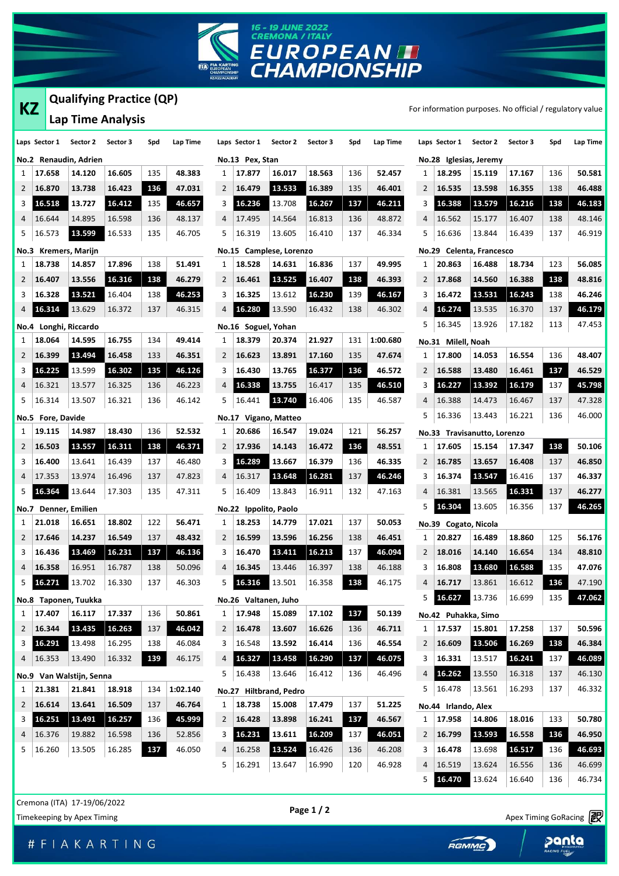

## **Qualifying Practice (QP)**

| KZ            |        |              |                          | Qualifying Practice (QP) |     |          |                |               |
|---------------|--------|--------------|--------------------------|--------------------------|-----|----------|----------------|---------------|
|               |        |              |                          | <b>Lap Time Analysis</b> |     |          |                |               |
| Laps Sector 1 |        |              | Sector 2                 | Sector 3                 | Spd | Lap Time |                | Laps Sector 1 |
| No.2          |        |              | Renaudin, Adrien         |                          |     |          |                | No.13 Pex, !  |
| 1             | 17.658 |              | 14.120                   | 16.605                   | 135 | 48.383   | 1              | 17.877        |
| 2             | 16.870 |              | 13.738                   | 16.423                   | 136 | 47.031   | $\overline{2}$ | 16.479        |
| 3             | 16.518 |              | 13.727                   | 16.412                   | 135 | 46.657   | 3              | 16.236        |
| 4             | 16.644 |              | 14.895                   | 16.598                   | 136 | 48.137   | 4              | 17.495        |
| 5             | 16.573 |              | 13.599                   | 16.533                   | 135 | 46.705   | 5              | 16.319        |
| No.3          |        |              | <b>Kremers, Marijn</b>   |                          |     |          |                | No.15 Camp    |
| 1             | 18.738 |              | 14.857                   | 17.896                   | 138 | 51.491   | 1              | 18.528        |
| 2             | 16.407 |              | 13.556                   | 16.316                   | 138 | 46.279   | 2              | 16.461        |
| 3             | 16.328 |              | 13.521                   | 16.404                   | 138 | 46.253   | 3              | 16.325        |
| 4             | 16.314 |              | 13.629                   | 16.372                   | 137 | 46.315   | 4              | 16.280        |
|               |        |              | No.4 Longhi, Riccardo    |                          |     |          |                | No.16 Sogu    |
| 1             | 18.064 |              | 14.595                   | 16.755                   | 134 | 49.414   | 1              | 18.379        |
| 2             | 16.399 |              | 13.494                   | 16.458                   | 133 | 46.351   | 2              | 16.623        |
| 3             | 16.225 |              | 13.599                   | 16.302                   | 135 | 46.126   | 3              | 16.430        |
| 4             | 16.321 |              | 13.577                   | 16.325                   | 136 | 46.223   | 4              | 16.338        |
| 5             | 16.314 |              | 13.507                   | 16.321                   | 136 | 46.142   | 5              | 16.441        |
| No.5          |        | Fore, Davide |                          |                          |     |          |                | No.17 Vigar   |
| 1             | 19.115 |              | 14.987                   | 18.430                   | 136 | 52.532   | 1              | 20.686        |
| 2             | 16.503 |              | 13.557                   | 16.311                   | 138 | 46.371   | 2              | 17.936        |
| 3             | 16.400 |              | 13.641                   | 16.439                   | 137 | 46.480   | 3              | 16.289        |
| 4             | 17.353 |              | 13.974                   | 16.496                   | 137 | 47.823   | 4              | 16.317        |
| 5             | 16.364 |              | 13.644                   | 17.303                   | 135 | 47.311   | 5              | 16.409        |
| No.7          |        |              | Denner, Emilien          |                          |     |          |                | No.22 Ippol   |
| 1             | 21.018 |              | 16.651                   | 18.802                   | 122 | 56.471   | 1              | 18.253        |
| 2             | 17.646 |              | 14.237                   | 16.549                   | 137 | 48.432   | 2              | 16.599        |
| 3             | 16.436 |              | 13.469                   | 16.231                   | 137 | 46.136   | 3              | 16.470        |
| 4             | 16.358 |              | 16.951                   | 16.787                   | 138 | 50.096   | 4              | 16.345        |
| 5             | 16.271 |              | 13.702                   | 16.330                   | 137 | 46.303   | 5              | 16.316        |
|               |        |              | Taponen, Tuukka          |                          |     |          |                | No.26 Valta   |
| No.8<br>1     | 17.407 |              | 16.117                   | 17.337                   | 136 | 50.861   | 1              | 17.948        |
| 2             | 16.344 |              | 13.435                   | 16.263                   | 137 | 46.042   | 2              | 16.478        |
| 3             | 16.291 |              | 13.498                   | 16.295                   | 138 | 46.084   | 3              | 16.548        |
| 4             | 16.353 |              | 13.490                   | 16.332                   | 139 | 46.175   | 4              | 16.327        |
|               |        |              | No.9 Van Walstijn, Senna |                          |     |          | 5              | 16.438        |
| 1             | 21.381 |              | 21.841                   | 18.918                   | 134 | 1:02.140 | <b>No.27</b>   | <b>Hiltb</b>  |
| 2             | 16.614 |              | 13.641                   | 16.509                   | 137 | 46.764   | 1              | 18.738        |
| 3             | 16.251 |              | 13.491                   | 16.257                   | 136 | 45.999   | 2              | 16.428        |
| 4             | 16.376 |              | 19.882                   | 16.598                   | 136 | 52.856   | 3              | 16.231        |
| 5             | 16.260 |              | 13.505                   | 16.285                   | 137 | 46.050   | 4              | 16.258        |
|               |        |              |                          |                          |     |          | 5              | 16.291        |
|               |        |              |                          |                          |     |          |                |               |

|   |                       |                         |          |     |          | For info  |
|---|-----------------------|-------------------------|----------|-----|----------|-----------|
|   | Laps Sector 1         | Sector 2                | Sector 3 | Spd | Lap Time | Laps      |
|   | No.13 Pex, Stan       |                         |          |     |          | No.2      |
| 1 | 17.877                | 16.017                  | 18.563   | 136 | 52.457   | 1         |
| 2 | 16.479                | 13.533                  | 16.389   | 135 | 46.401   | 2         |
| 3 | 16.236                | 13.708                  | 16.267   | 137 | 46.211   | 3         |
| 4 | 17.495                | 14.564                  | 16.813   | 136 | 48.872   | 4         |
| 5 | 16.319                | 13.605                  | 16.410   | 137 | 46.334   | 5         |
|   |                       | No.15 Camplese, Lorenzo |          |     |          | No.2      |
| 1 | 18.528                | 14.631                  | 16.836   | 137 | 49.995   | 1         |
| 2 | 16.461                | 13.525                  | 16.407   | 138 | 46.393   | 2         |
| 3 | 16.325                | 13.612                  | 16.230   | 139 | 46.167   | 3         |
| 4 | 16.280                | 13.590                  | 16.432   | 138 | 46.302   | 4         |
|   | No.16 Soguel, Yohan   |                         |          |     |          | 5         |
| 1 | 18.379                | 20.374                  | 21.927   | 131 | 1:00.680 | No.3      |
| 2 | 16.623                | 13.891                  | 17.160   | 135 | 47.674   | 1         |
| 3 | 16.430                | 13.765                  | 16.377   | 136 | 46.572   | 2         |
| 4 | 16.338                | 13.755                  | 16.417   | 135 | 46.510   | 3         |
| 5 | 16.441                | 13.740                  | 16.406   | 135 | 46.587   | 4         |
|   | No.17 Vigano, Matteo  |                         |          |     |          | 5         |
| 1 | 20.686                | 16.547                  | 19.024   | 121 | 56.257   |           |
| 2 | 17.936                | 14.143                  | 16.472   | 136 | 48.551   | No.3<br>1 |
| 3 | 16.289                | 13.667                  | 16.379   | 136 | 46.335   | 2         |
| 4 | 16.317                | 13.648                  | 16.281   | 137 | 46.246   | 3         |
| 5 | 16.409                | 13.843                  | 16.911   | 132 | 47.163   | 4         |
|   | No.22 Ippolito, Paolo |                         |          |     |          | 5         |
| 1 | 18.253                | 14.779                  | 17.021   | 137 | 50.053   |           |
| 2 | 16.599                | 13.596                  | 16.256   | 138 | 46.451   | No.3<br>1 |
| 3 | 16.470                | 13.411                  | 16.213   | 137 | 46.094   | 2         |
| 4 | 16.345                | 13.446                  | 16.397   | 138 | 46.188   | 3         |
| 5 | 16.316                | 13.501                  | 16.358   | 138 | 46.175   | 4         |
|   |                       |                         |          |     |          | 5         |
|   | No.26 Valtanen, Juho  |                         |          |     |          |           |
| 1 | 17.948                | 15.089                  | 17.102   | 137 | 50.139   | No.4      |
| 2 | 16.478                | 13.607<br>13.592        | 16.626   | 136 | 46.711   | 1         |
| 3 | 16.548                | 13.458                  | 16.414   | 136 | 46.554   | 2         |
| 4 | 16.327                |                         | 16.290   | 137 | 46.075   | 3         |
| 5 | 16.438                | 13.646                  | 16.412   | 136 | 46.496   | 4         |
|   |                       | No.27 Hiltbrand, Pedro  |          |     |          | 5         |
| 1 | 18.738                | 15.008                  | 17.479   | 137 | 51.225   | No.4      |
| 2 | 16.428                | 13.898                  | 16.241   | 137 | 46.567   | 1         |
| 3 | 16.231                | 13.611                  | 16.209   | 137 | 46.051   | 2         |
| 4 | 16.258                | 13.524                  | 16.426   | 136 | 46.208   | 3         |
| 5 | 16.291                | 13.647                  | 16.990   | 120 | 46.928   | 4         |

| ΚZ             |                          | Qualifying Practice (QP)        |          |     |          |                |                       |                         |          |     |          |                |                               |                             | For information purposes. No official / regulatory value |     |          |
|----------------|--------------------------|---------------------------------|----------|-----|----------|----------------|-----------------------|-------------------------|----------|-----|----------|----------------|-------------------------------|-----------------------------|----------------------------------------------------------|-----|----------|
|                |                          | Lap Time Analysis               |          |     |          |                |                       |                         |          |     |          |                |                               |                             |                                                          |     |          |
|                |                          | aps Sector 1 Sector 2           | Sector 3 | Spd | Lap Time |                | Laps Sector 1         | Sector 2                | Sector 3 | Spd | Lap Time |                | Laps Sector 1                 | Sector 2                    | Sector 3                                                 | Spd | Lap Time |
|                |                          | <b>Jo.2 Renaudin, Adrien</b>    |          |     |          |                | No.13 Pex, Stan       |                         |          |     |          |                |                               | No.28 Iglesias, Jeremy      |                                                          |     |          |
|                | $1 \mid 17.658$          | 14.120                          | 16.605   | 135 | 48.383   | $\mathbf{1}$   | 17.877                | 16.017                  | 18.563   | 136 | 52.457   | 1              | 18.295                        | 15.119                      | 17.167                                                   | 136 | 50.581   |
|                | $2 \mid 16.870$          | 13.738                          | 16.423   | 136 | 47.031   | 2              | 16.479                | 13.533                  | 16.389   | 135 | 46.401   | 2              | 16.535                        | 13.598                      | 16.355                                                   | 138 | 46.488   |
| 3              | 16.518                   | 13.727                          | 16.412   | 135 | 46.657   | 3              | 16.236                | 13.708                  | 16.267   | 137 | 46.211   | 3              | 16.388                        | 13.579                      | 16.216                                                   | 138 | 46.183   |
|                | 4 16.644                 | 14.895                          | 16.598   | 136 | 48.137   | 4              | 17.495                | 14.564                  | 16.813   | 136 | 48.872   | 4              | 16.562                        | 15.177                      | 16.407                                                   | 138 | 48.146   |
| 5.             | 16.573                   | 13.599                          | 16.533   | 135 | 46.705   | 5              | 16.319                | 13.605                  | 16.410   | 137 | 46.334   | 5              | 16.636                        | 13.844                      | 16.439                                                   | 137 | 46.919   |
|                |                          | <b>Jo.3 Kremers, Marijn</b>     |          |     |          |                |                       | No.15 Camplese, Lorenzo |          |     |          |                |                               | No.29 Celenta, Francesco    |                                                          |     |          |
| $\mathbf{1}$   | 18.738                   | 14.857                          | 17.896   | 138 | 51.491   | 1              | 18.528                | 14.631                  | 16.836   | 137 | 49.995   | 1              | 20.863                        | 16.488                      | 18.734                                                   | 123 | 56.085   |
|                | $2 \mid 16.407$          | 13.556                          | 16.316   | 138 | 46.279   | $\mathbf{2}$   | 16.461                | 13.525                  | 16.407   | 138 | 46.393   | 2              | 17.868                        | 14.560                      | 16.388                                                   | 138 | 48.816   |
| 3              | 16.328                   | 13.521                          | 16.404   | 138 | 46.253   | 3              | 16.325                | 13.612                  | 16.230   | 139 | 46.167   | 3              | 16.472                        | 13.531                      | 16.243                                                   | 138 | 46.246   |
| 4              | 16.314                   | 13.629                          | 16.372   | 137 | 46.315   | 4              | 16.280                | 13.590                  | 16.432   | 138 | 46.302   | 4              | 16.274                        | 13.535                      | 16.370                                                   | 137 | 46.179   |
|                |                          | Vo.4 Longhi, Riccardo           |          |     |          |                | No.16 Soguel, Yohan   |                         |          |     |          | 5              | 16.345                        | 13.926                      | 17.182                                                   | 113 | 47.453   |
|                | 1   18.064               | 14.595                          | 16.755   | 134 | 49.414   | 1              | 18.379                | 20.374                  | 21.927   | 131 | 1:00.680 |                | No.31 Milell, Noah            |                             |                                                          |     |          |
|                | $2 \mid 16.399$          | 13.494                          | 16.458   | 133 | 46.351   | 2              | 16.623                | 13.891                  | 17.160   | 135 | 47.674   | 1              | 17.800                        | 14.053                      | 16.554                                                   | 136 | 48.407   |
| 3              | 16.225                   | 13.599                          | 16.302   | 135 | 46.126   | 3              | 16.430                | 13.765                  | 16.377   | 136 | 46.572   | 2              | 16.588                        | 13.480                      | 16.461                                                   | 137 | 46.529   |
| 4              | 16.321                   | 13.577                          | 16.325   | 136 | 46.223   | 4              | 16.338                | 13.755                  | 16.417   | 135 | 46.510   | 3              | 16.227                        | 13.392                      | 16.179                                                   | 137 | 45.798   |
| 5              | 16.314                   | 13.507                          | 16.321   | 136 | 46.142   | 5              | 16.441                | 13.740                  | 16.406   | 135 | 46.587   | 4              | 16.388                        | 14.473                      | 16.467                                                   | 137 | 47.328   |
|                | <b>Jo.5 Fore, Davide</b> |                                 |          |     |          |                |                       | No.17 Vigano, Matteo    |          |     |          | 5              | 16.336                        | 13.443                      | 16.221                                                   | 136 | 46.000   |
| 1              | 19.115                   | 14.987                          | 18.430   | 136 | 52.532   | 1              | 20.686                | 16.547                  | 19.024   | 121 | 56.257   |                |                               | No.33 Travisanutto, Lorenzo |                                                          |     |          |
| $\overline{2}$ | 16.503                   | 13.557                          | 16.311   | 138 | 46.371   | $\overline{2}$ | 17.936                | 14.143                  | 16.472   | 136 | 48.551   | 1              | 17.605                        | 15.154                      | 17.347                                                   | 138 | 50.106   |
|                | 3   16.400               | 13.641                          | 16.439   | 137 | 46.480   | 3              | 16.289                | 13.667                  | 16.379   | 136 | 46.335   | 2              | 16.785                        | 13.657                      | 16.408                                                   | 137 | 46.850   |
|                | 4   17.353               | 13.974                          | 16.496   | 137 | 47.823   | 4              | 16.317                | 13.648                  | 16.281   | 137 | 46.246   | 3              | 16.374                        | 13.547                      | 16.416                                                   | 137 | 46.337   |
| 5              | 16.364                   | 13.644                          | 17.303   | 135 | 47.311   | 5              | 16.409                | 13.843                  | 16.911   | 132 | 47.163   | 4              | 16.381                        | 13.565                      | 16.331                                                   | 137 | 46.277   |
|                |                          | <b>Vo.7 Denner, Emilien</b>     |          |     |          |                | No.22 Ippolito, Paolo |                         |          |     |          | 5              | 16.304                        | 13.605                      | 16.356                                                   | 137 | 46.265   |
|                | $1 \mid 21.018$          | 16.651                          | 18.802   | 122 | 56.471   | 1              | 18.253                | 14.779                  | 17.021   | 137 | 50.053   |                | No.39 Cogato, Nicola          |                             |                                                          |     |          |
|                | $2 \mid 17.646$          | 14.237                          | 16.549   | 137 | 48.432   | 2              | 16.599                | 13.596                  | 16.256   | 138 | 46.451   | 1              | 20.827                        | 16.489                      | 18.860                                                   | 125 | 56.176   |
|                | 3   16.436               | 13.469                          | 16.231   | 137 | 46.136   | 3              | 16.470                | 13.411                  | 16.213   | 137 | 46.094   | $\overline{2}$ | 18.016                        | 14.140                      | 16.654                                                   | 134 | 48.810   |
|                | 4 16.358                 | 16.951                          | 16.787   | 138 | 50.096   | 4              | 16.345                | 13.446                  | 16.397   | 138 | 46.188   | 3              | 16.808                        | 13.680                      | 16.588                                                   | 135 | 47.076   |
|                | 5 16.271                 | 13.702                          | 16.330   | 137 | 46.303   | 5              | 16.316                | 13.501                  | 16.358   | 138 | 46.175   | 4              | 16.717                        | 13.861                      | 16.612                                                   | 136 | 47.190   |
|                |                          | <b>Vo.8 Taponen, Tuukka</b>     |          |     |          |                | No.26 Valtanen, Juho  |                         |          |     |          | 5              | 16.627                        | 13.736                      | 16.699                                                   | 135 | 47.062   |
|                | 1 17.407                 | 16.117                          | 17.337   | 136 | 50.861   | $\mathbf{1}$   | 17.948                | 15.089                  | 17.102   | 137 | 50.139   |                | No.42 Puhakka, Simo           |                             |                                                          |     |          |
|                | $2 \mid 16.344$          | 13.435                          | 16.263   | 137 | 46.042   | $\mathbf{2}$   | 16.478                | 13.607                  | 16.626   | 136 | 46.711   | 1              | 17.537                        | 15.801                      | 17.258                                                   | 137 | 50.596   |
|                | 3   16.291               | 13.498                          | 16.295   | 138 | 46.084   | 3              | 16.548                | 13.592                  | 16.414   | 136 | 46.554   | 2              | 16.609                        | 13.506                      | 16.269                                                   | 138 | 46.384   |
|                | 4   16.353               | 13.490                          | 16.332   | 139 | 46.175   | 4              | 16.327                | 13.458                  | 16.290   | 137 | 46.075   | 3              | 16.331                        | 13.517                      | 16.241                                                   | 137 | 46.089   |
|                |                          | <b>Jo.9 Van Walstijn, Senna</b> |          |     |          | 5              | 16.438                | 13.646                  | 16.412   | 136 | 46.496   | 4              | 16.262                        | 13.550                      | 16.318                                                   | 137 | 46.130   |
|                | $1 \mid 21.381$          | 21.841                          | 18.918   | 134 | 1:02.140 |                |                       | No.27 Hiltbrand, Pedro  |          |     |          | 5              | 16.478                        | 13.561                      | 16.293                                                   | 137 | 46.332   |
|                | $2 \mid 16.614$          | 13.641                          | 16.509   | 137 | 46.764   | $\mathbf{1}$   | 18.738                | 15.008                  | 17.479   | 137 | 51.225   |                |                               |                             |                                                          |     |          |
|                | 3   16.251               | 13.491                          | 16.257   | 136 | 45.999   |                | $2 \mid 16.428$       | 13.898                  | 16.241   | 137 | 46.567   | 1              | No.44 Irlando, Alex<br>17.958 | 14.806                      | 18.016                                                   | 133 | 50.780   |
|                | 4 16.376                 | 19.882                          | 16.598   | 136 | 52.856   | 3              | 16.231                | 13.611                  | 16.209   | 137 | 46.051   | $\mathbf{2}$   | 16.799                        | 13.593                      | 16.558                                                   | 136 | 46.950   |
| 5              | 16.260                   | 13.505                          | 16.285   | 137 | 46.050   | $4 \quad$      | 16.258                | 13.524                  | 16.426   | 136 | 46.208   | 3              | 16.478                        | 13.698                      | 16.517                                                   | 136 | 46.693   |
|                |                          |                                 |          |     |          |                |                       |                         |          |     |          |                |                               |                             |                                                          |     |          |
|                |                          |                                 |          |     |          |                | 5   16.291            | 13.647                  | 16.990   | 120 | 46.928   |                | 4   16.519                    | 13.624                      | 16.556                                                   | 136 | 46.699   |

Cremona (ITA) 17-19/06/2022 **Page 1 / 2**

Timekeeping by Apex Timing Corners and Timekeeping by Apex Timing GoRacing **PR**<br>Timekeeping by Apex Timing Apex Timing Corners and Timekeeping by Apex Timing GoRacing **PR** 

panta

**16.470** 13.624 16.640 136 46.734

Apex Timing - drive your success https://www.apex-timing.com/